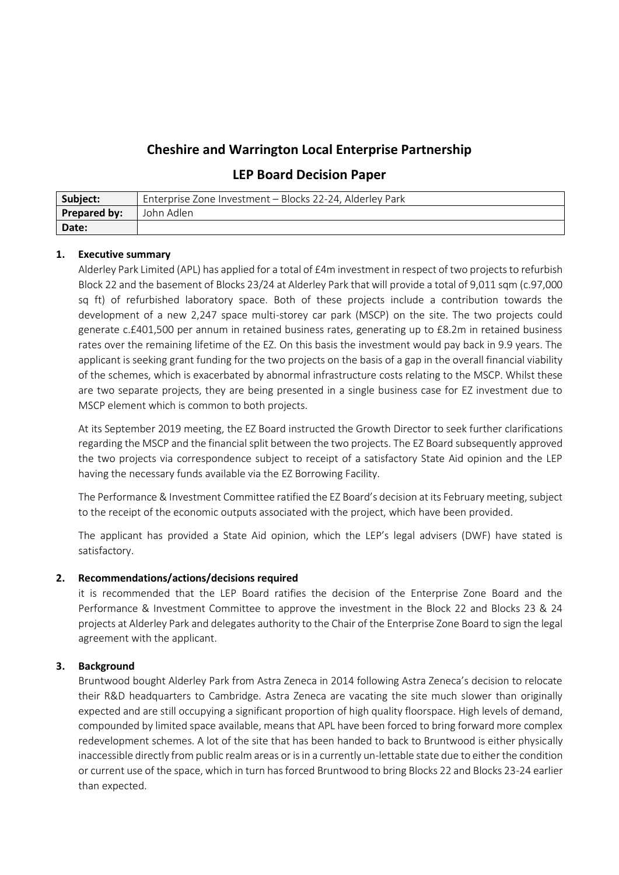## **Cheshire and Warrington Local Enterprise Partnership**

## **LEP Board Decision Paper**

| Subject:            | Enterprise Zone Investment - Blocks 22-24, Alderley Park |
|---------------------|----------------------------------------------------------|
| <b>Prepared by:</b> | " John Adlen                                             |
| Date:               |                                                          |

## **1. Executive summary**

Alderley Park Limited (APL) has applied for a total of £4m investment in respect of two projects to refurbish Block 22 and the basement of Blocks 23/24 at Alderley Park that will provide a total of 9,011 sqm (c.97,000 sq ft) of refurbished laboratory space. Both of these projects include a contribution towards the development of a new 2,247 space multi-storey car park (MSCP) on the site. The two projects could generate c.£401,500 per annum in retained business rates, generating up to £8.2m in retained business rates over the remaining lifetime of the EZ. On this basis the investment would pay back in 9.9 years. The applicant is seeking grant funding for the two projects on the basis of a gap in the overall financial viability of the schemes, which is exacerbated by abnormal infrastructure costs relating to the MSCP. Whilst these are two separate projects, they are being presented in a single business case for EZ investment due to MSCP element which is common to both projects.

At its September 2019 meeting, the EZ Board instructed the Growth Director to seek further clarifications regarding the MSCP and the financial split between the two projects. The EZ Board subsequently approved the two projects via correspondence subject to receipt of a satisfactory State Aid opinion and the LEP having the necessary funds available via the EZ Borrowing Facility.

The Performance & Investment Committee ratified the EZ Board's decision at its February meeting, subject to the receipt of the economic outputs associated with the project, which have been provided.

The applicant has provided a State Aid opinion, which the LEP's legal advisers (DWF) have stated is satisfactory.

## **2. Recommendations/actions/decisions required**

it is recommended that the LEP Board ratifies the decision of the Enterprise Zone Board and the Performance & Investment Committee to approve the investment in the Block 22 and Blocks 23 & 24 projects at Alderley Park and delegates authority to the Chair of the Enterprise Zone Board to sign the legal agreement with the applicant.

## **3. Background**

Bruntwood bought Alderley Park from Astra Zeneca in 2014 following Astra Zeneca's decision to relocate their R&D headquarters to Cambridge. Astra Zeneca are vacating the site much slower than originally expected and are still occupying a significant proportion of high quality floorspace. High levels of demand, compounded by limited space available, means that APL have been forced to bring forward more complex redevelopment schemes. A lot of the site that has been handed to back to Bruntwood is either physically inaccessible directly from public realm areas or is in a currently un-lettable state due to either the condition or current use of the space, which in turn has forced Bruntwood to bring Blocks 22 and Blocks 23-24 earlier than expected.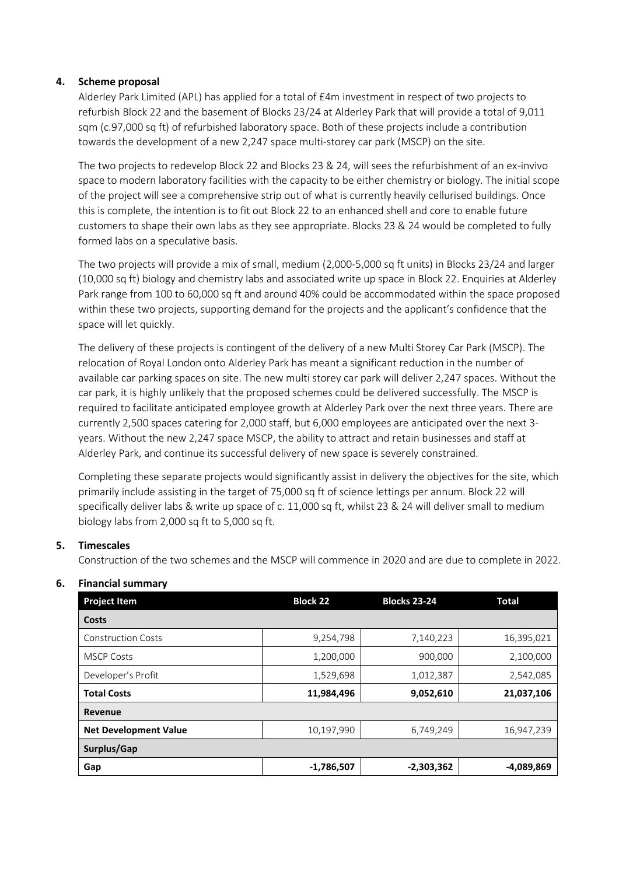### **4. Scheme proposal**

Alderley Park Limited (APL) has applied for a total of £4m investment in respect of two projects to refurbish Block 22 and the basement of Blocks 23/24 at Alderley Park that will provide a total of 9,011 sqm (c.97,000 sq ft) of refurbished laboratory space. Both of these projects include a contribution towards the development of a new 2,247 space multi-storey car park (MSCP) on the site.

The two projects to redevelop Block 22 and Blocks 23 & 24, will sees the refurbishment of an ex-invivo space to modern laboratory facilities with the capacity to be either chemistry or biology. The initial scope of the project will see a comprehensive strip out of what is currently heavily cellurised buildings. Once this is complete, the intention is to fit out Block 22 to an enhanced shell and core to enable future customers to shape their own labs as they see appropriate. Blocks 23 & 24 would be completed to fully formed labs on a speculative basis.

The two projects will provide a mix of small, medium (2,000‐5,000 sq ft units) in Blocks 23/24 and larger (10,000 sq ft) biology and chemistry labs and associated write up space in Block 22. Enquiries at Alderley Park range from 100 to 60,000 sq ft and around 40% could be accommodated within the space proposed within these two projects, supporting demand for the projects and the applicant's confidence that the space will let quickly.

The delivery of these projects is contingent of the delivery of a new Multi Storey Car Park (MSCP). The relocation of Royal London onto Alderley Park has meant a significant reduction in the number of available car parking spaces on site. The new multi storey car park will deliver 2,247 spaces. Without the car park, it is highly unlikely that the proposed schemes could be delivered successfully. The MSCP is required to facilitate anticipated employee growth at Alderley Park over the next three years. There are currently 2,500 spaces catering for 2,000 staff, but 6,000 employees are anticipated over the next 3‐ years. Without the new 2,247 space MSCP, the ability to attract and retain businesses and staff at Alderley Park, and continue its successful delivery of new space is severely constrained.

Completing these separate projects would significantly assist in delivery the objectives for the site, which primarily include assisting in the target of 75,000 sq ft of science lettings per annum. Block 22 will specifically deliver labs & write up space of c. 11,000 sq ft, whilst 23 & 24 will deliver small to medium biology labs from 2,000 sq ft to 5,000 sq ft.

## **5. Timescales**

Construction of the two schemes and the MSCP will commence in 2020 and are due to complete in 2022.

| <b>Project Item</b>          | <b>Block 22</b> | <b>Blocks 23-24</b> | <b>Total</b> |
|------------------------------|-----------------|---------------------|--------------|
| Costs                        |                 |                     |              |
| <b>Construction Costs</b>    | 9,254,798       | 7,140,223           | 16,395,021   |
| <b>MSCP Costs</b>            | 1,200,000       | 900,000             | 2,100,000    |
| Developer's Profit           | 1,529,698       | 1,012,387           | 2,542,085    |
| <b>Total Costs</b>           | 11,984,496      | 9,052,610           | 21,037,106   |
| Revenue                      |                 |                     |              |
| <b>Net Development Value</b> | 10,197,990      | 6,749,249           | 16,947,239   |
| Surplus/Gap                  |                 |                     |              |
| Gap                          | -1,786,507      | $-2,303,362$        | -4,089,869   |

## **6. Financial summary**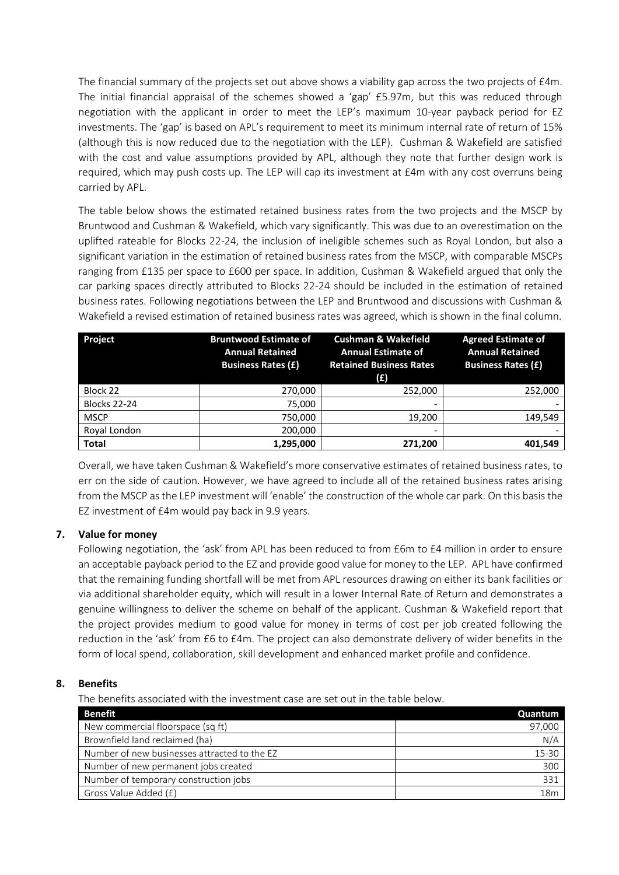The financial summary of the projects set out above shows a viability gap across the two projects of £4m. The initial financial appraisal of the schemes showed a 'gap' £5.97m, but this was reduced through negotiation with the applicant in order to meet the LEP's maximum 10-year payback period for EZ investments. The 'gap' is based on APL's requirement to meet its minimum internal rate of return of 15% (although this is now reduced due to the negotiation with the LEP). Cushman & Wakefield are satisfied with the cost and value assumptions provided by APL, although they note that further design work is required, which may push costs up. The LEP will cap its investment at £4m with any cost overruns being carried by APL.

The table below shows the estimated retained business rates from the two projects and the MSCP by Bruntwood and Cushman & Wakefield, which vary significantly. This was due to an overestimation on the uplifted rateable for Blocks 22-24, the inclusion of ineligible schemes such as Royal London, but also a significant variation in the estimation of retained business rates from the MSCP, with comparable MSCPs ranging from £135 per space to £600 per space. In addition, Cushman & Wakefield argued that only the car parking spaces directly attributed to Blocks 22-24 should be included in the estimation of retained business rates. Following negotiations between the LEP and Bruntwood and discussions with Cushman & Wakefield a revised estimation of retained business rates was agreed, which is shown in the final column.

| Project             | <b>Bruntwood Estimate of</b><br><b>Annual Retained</b><br><b>Business Rates (£)</b> | <b>Cushman &amp; Wakefield</b><br><b>Annual Estimate of</b><br><b>Retained Business Rates</b><br>(E) | <b>Agreed Estimate of</b><br><b>Annual Retained</b><br><b>Business Rates (£)</b> |
|---------------------|-------------------------------------------------------------------------------------|------------------------------------------------------------------------------------------------------|----------------------------------------------------------------------------------|
| Block 22            | 270,000                                                                             | 252,000                                                                                              | 252,000                                                                          |
| <b>Blocks 22-24</b> | 75,000                                                                              | -                                                                                                    |                                                                                  |
| <b>MSCP</b>         | 750,000                                                                             | 19,200                                                                                               | 149,549                                                                          |
| Royal London        | 200,000                                                                             |                                                                                                      |                                                                                  |
| <b>Total</b>        | 1,295,000                                                                           | 271,200                                                                                              | 401.549                                                                          |

Overall, we have taken Cushman & Wakefield's more conservative estimates of retained business rates, to err on the side of caution. However, we have agreed to include all of the retained business rates arising from the MSCP as the LEP investment will 'enable' the construction of the whole car park. On this basis the EZ investment of £4m would pay back in 9.9 years.

## **7. Value for money**

Following negotiation, the 'ask' from APL has been reduced to from £6m to £4 million in order to ensure an acceptable payback period to the EZ and provide good value for money to the LEP. APL have confirmed that the remaining funding shortfall will be met from APL resources drawing on either its bank facilities or via additional shareholder equity, which will result in a lower Internal Rate of Return and demonstrates a genuine willingness to deliver the scheme on behalf of the applicant. Cushman & Wakefield report that the project provides medium to good value for money in terms of cost per job created following the reduction in the 'ask' from £6 to £4m. The project can also demonstrate delivery of wider benefits in the form of local spend, collaboration, skill development and enhanced market profile and confidence.

#### **8. Benefits**

The benefits associated with the investment case are set out in the table below.

| <b>Benefit</b>                               | Quantum |
|----------------------------------------------|---------|
| New commercial floorspace (sq ft)            | 97,000  |
| Brownfield land reclaimed (ha)               | N/A     |
| Number of new businesses attracted to the EZ | 15-30   |
| Number of new permanent jobs created         | 300     |
| Number of temporary construction jobs        | 331     |
| Gross Value Added (£)                        | 18m     |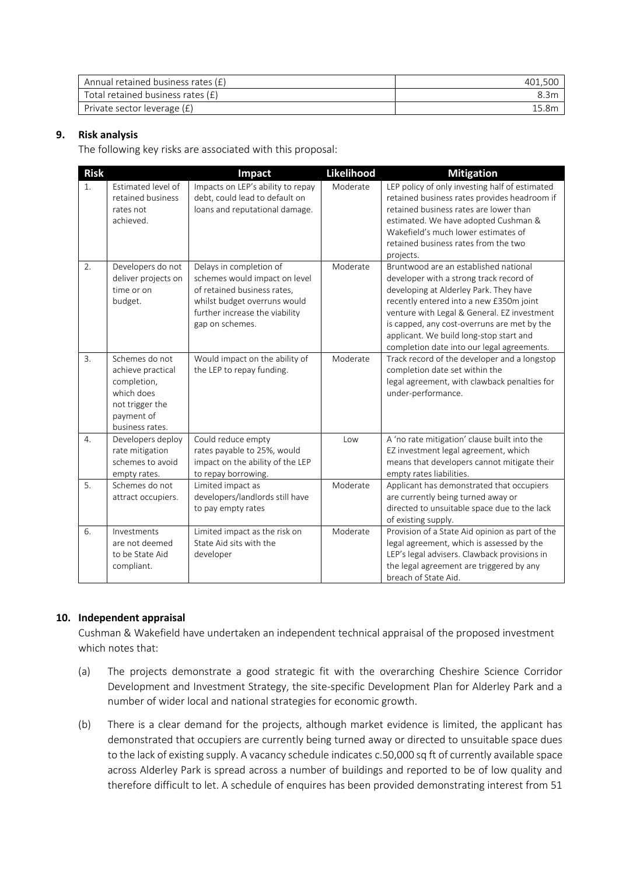| Annual retained business rates $(E)$ |  |
|--------------------------------------|--|
| Total retained business rates (£)    |  |
| Private sector leverage (£)          |  |

## **9. Risk analysis**

The following key risks are associated with this proposal:

| <b>Risk</b>      |                                                                                                                      | Impact                                                                                                                                                                       | Likelihood | <b>Mitigation</b>                                                                                                                                                                                                                                                                                                                                            |
|------------------|----------------------------------------------------------------------------------------------------------------------|------------------------------------------------------------------------------------------------------------------------------------------------------------------------------|------------|--------------------------------------------------------------------------------------------------------------------------------------------------------------------------------------------------------------------------------------------------------------------------------------------------------------------------------------------------------------|
| 1.               | Estimated level of<br>retained business<br>rates not<br>achieved.                                                    | Impacts on LEP's ability to repay<br>debt, could lead to default on<br>loans and reputational damage.                                                                        | Moderate   | LEP policy of only investing half of estimated<br>retained business rates provides headroom if<br>retained business rates are lower than<br>estimated. We have adopted Cushman &<br>Wakefield's much lower estimates of<br>retained business rates from the two<br>projects.                                                                                 |
| 2.               | Developers do not<br>deliver projects on<br>time or on<br>budget.                                                    | Delays in completion of<br>schemes would impact on level<br>of retained business rates,<br>whilst budget overruns would<br>further increase the viability<br>gap on schemes. | Moderate   | Bruntwood are an established national<br>developer with a strong track record of<br>developing at Alderley Park. They have<br>recently entered into a new £350m joint<br>venture with Legal & General. EZ investment<br>is capped, any cost-overruns are met by the<br>applicant. We build long-stop start and<br>completion date into our legal agreements. |
| $\overline{3}$ . | Schemes do not<br>achieve practical<br>completion,<br>which does<br>not trigger the<br>payment of<br>business rates. | Would impact on the ability of<br>the LEP to repay funding.                                                                                                                  | Moderate   | Track record of the developer and a longstop<br>completion date set within the<br>legal agreement, with clawback penalties for<br>under-performance.                                                                                                                                                                                                         |
| 4.               | Developers deploy<br>rate mitigation<br>schemes to avoid<br>empty rates.                                             | Could reduce empty<br>rates payable to 25%, would<br>impact on the ability of the LEP<br>to repay borrowing.                                                                 | Low        | A 'no rate mitigation' clause built into the<br>EZ investment legal agreement, which<br>means that developers cannot mitigate their<br>empty rates liabilities.                                                                                                                                                                                              |
| 5.               | Schemes do not<br>attract occupiers.                                                                                 | Limited impact as<br>developers/landlords still have<br>to pay empty rates                                                                                                   | Moderate   | Applicant has demonstrated that occupiers<br>are currently being turned away or<br>directed to unsuitable space due to the lack<br>of existing supply.                                                                                                                                                                                                       |
| 6.               | Investments<br>are not deemed<br>to be State Aid<br>compliant.                                                       | Limited impact as the risk on<br>State Aid sits with the<br>developer                                                                                                        | Moderate   | Provision of a State Aid opinion as part of the<br>legal agreement, which is assessed by the<br>LEP's legal advisers. Clawback provisions in<br>the legal agreement are triggered by any<br>breach of State Aid.                                                                                                                                             |

## **10. Independent appraisal**

Cushman & Wakefield have undertaken an independent technical appraisal of the proposed investment which notes that:

- (a) The projects demonstrate a good strategic fit with the overarching Cheshire Science Corridor Development and Investment Strategy, the site‐specific Development Plan for Alderley Park and a number of wider local and national strategies for economic growth.
- (b) There is a clear demand for the projects, although market evidence is limited, the applicant has demonstrated that occupiers are currently being turned away or directed to unsuitable space dues to the lack of existing supply. A vacancy schedule indicates c.50,000 sq ft of currently available space across Alderley Park is spread across a number of buildings and reported to be of low quality and therefore difficult to let. A schedule of enquires has been provided demonstrating interest from 51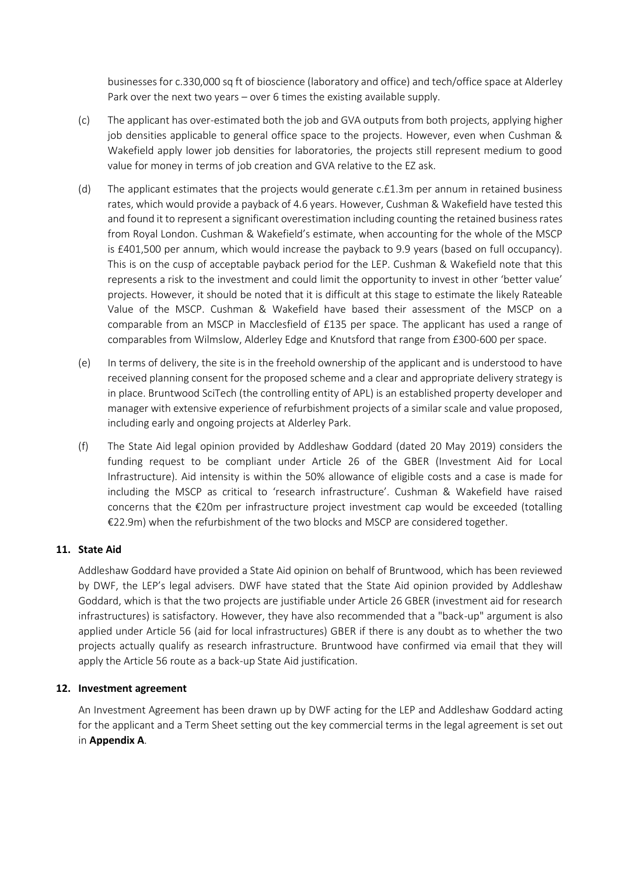businesses for c.330,000 sq ft of bioscience (laboratory and office) and tech/office space at Alderley Park over the next two years – over 6 times the existing available supply.

- (c) The applicant has over-estimated both the job and GVA outputs from both projects, applying higher job densities applicable to general office space to the projects. However, even when Cushman & Wakefield apply lower job densities for laboratories, the projects still represent medium to good value for money in terms of job creation and GVA relative to the EZ ask.
- (d) The applicant estimates that the projects would generate c.£1.3m per annum in retained business rates, which would provide a payback of 4.6 years. However, Cushman & Wakefield have tested this and found it to represent a significant overestimation including counting the retained business rates from Royal London. Cushman & Wakefield's estimate, when accounting for the whole of the MSCP is £401,500 per annum, which would increase the payback to 9.9 years (based on full occupancy). This is on the cusp of acceptable payback period for the LEP. Cushman & Wakefield note that this represents a risk to the investment and could limit the opportunity to invest in other 'better value' projects. However, it should be noted that it is difficult at this stage to estimate the likely Rateable Value of the MSCP. Cushman & Wakefield have based their assessment of the MSCP on a comparable from an MSCP in Macclesfield of £135 per space. The applicant has used a range of comparables from Wilmslow, Alderley Edge and Knutsford that range from £300-600 per space.
- (e) In terms of delivery, the site is in the freehold ownership of the applicant and is understood to have received planning consent for the proposed scheme and a clear and appropriate delivery strategy is in place. Bruntwood SciTech (the controlling entity of APL) is an established property developer and manager with extensive experience of refurbishment projects of a similar scale and value proposed, including early and ongoing projects at Alderley Park.
- (f) The State Aid legal opinion provided by Addleshaw Goddard (dated 20 May 2019) considers the funding request to be compliant under Article 26 of the GBER (Investment Aid for Local Infrastructure). Aid intensity is within the 50% allowance of eligible costs and a case is made for including the MSCP as critical to 'research infrastructure'. Cushman & Wakefield have raised concerns that the €20m per infrastructure project investment cap would be exceeded (totalling €22.9m) when the refurbishment of the two blocks and MSCP are considered together.

## **11. State Aid**

Addleshaw Goddard have provided a State Aid opinion on behalf of Bruntwood, which has been reviewed by DWF, the LEP's legal advisers. DWF have stated that the State Aid opinion provided by Addleshaw Goddard, which is that the two projects are justifiable under Article 26 GBER (investment aid for research infrastructures) is satisfactory. However, they have also recommended that a "back-up" argument is also applied under Article 56 (aid for local infrastructures) GBER if there is any doubt as to whether the two projects actually qualify as research infrastructure. Bruntwood have confirmed via email that they will apply the Article 56 route as a back-up State Aid justification.

#### **12. Investment agreement**

An Investment Agreement has been drawn up by DWF acting for the LEP and Addleshaw Goddard acting for the applicant and a Term Sheet setting out the key commercial terms in the legal agreement is set out in **Appendix A**.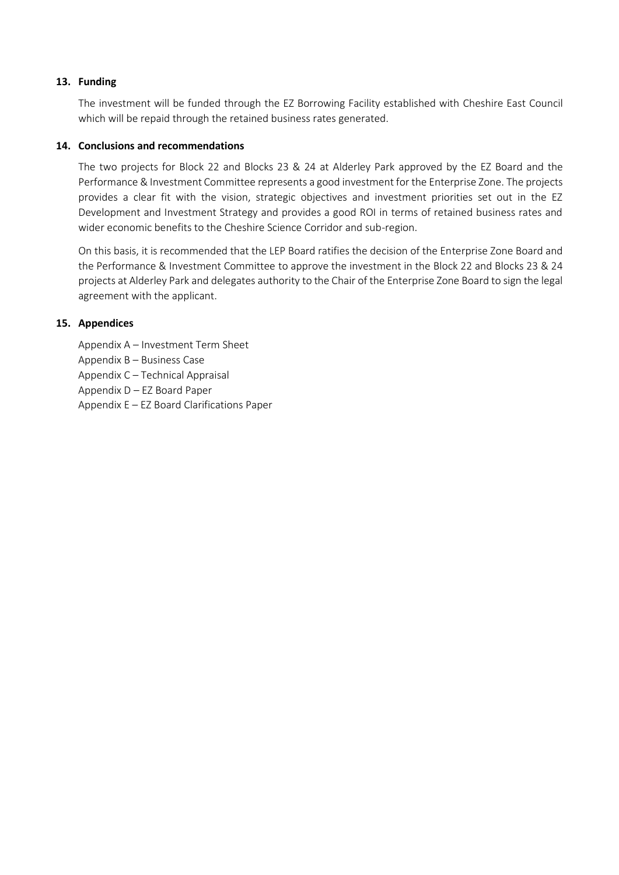#### **13. Funding**

The investment will be funded through the EZ Borrowing Facility established with Cheshire East Council which will be repaid through the retained business rates generated.

#### **14. Conclusions and recommendations**

The two projects for Block 22 and Blocks 23 & 24 at Alderley Park approved by the EZ Board and the Performance & Investment Committee represents a good investment for the Enterprise Zone. The projects provides a clear fit with the vision, strategic objectives and investment priorities set out in the EZ Development and Investment Strategy and provides a good ROI in terms of retained business rates and wider economic benefits to the Cheshire Science Corridor and sub-region.

On this basis, it is recommended that the LEP Board ratifies the decision of the Enterprise Zone Board and the Performance & Investment Committee to approve the investment in the Block 22 and Blocks 23 & 24 projects at Alderley Park and delegates authority to the Chair of the Enterprise Zone Board to sign the legal agreement with the applicant.

#### **15. Appendices**

Appendix A – Investment Term Sheet Appendix B – Business Case Appendix C – Technical Appraisal Appendix D – EZ Board Paper Appendix E – EZ Board Clarifications Paper